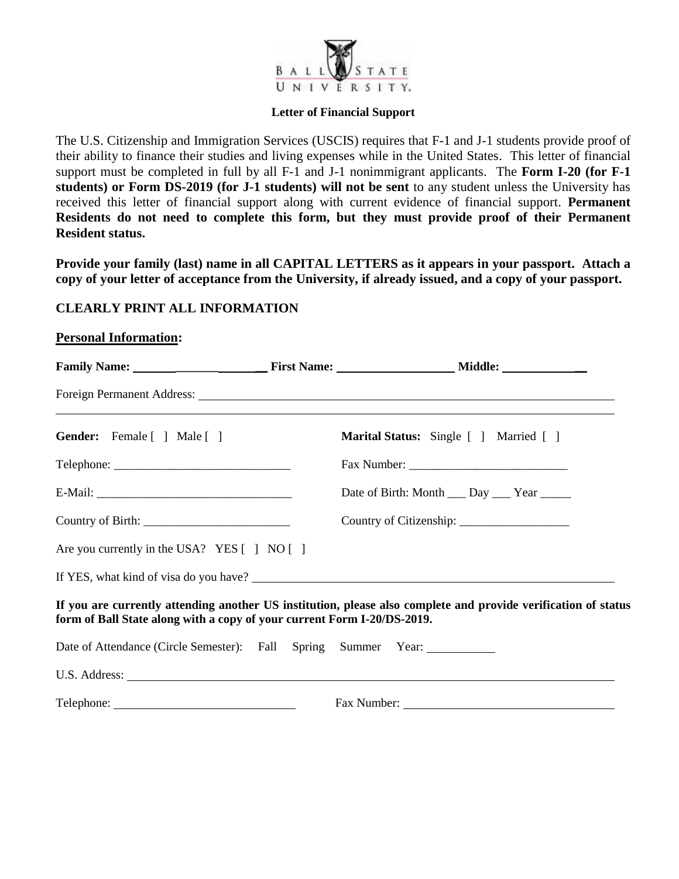

#### **Letter of Financial Support**

The U.S. Citizenship and Immigration Services (USCIS) requires that F-1 and J-1 students provide proof of their ability to finance their studies and living expenses while in the United States. This letter of financial support must be completed in full by all F-1 and J-1 nonimmigrant applicants. The **Form I-20 (for F-1 students) or Form DS-2019 (for J-1 students) will not be sent** to any student unless the University has received this letter of financial support along with current evidence of financial support. **Permanent Residents do not need to complete this form, but they must provide proof of their Permanent Resident status.** 

**Provide your family (last) name in all CAPITAL LETTERS as it appears in your passport. Attach a copy of your letter of acceptance from the University, if already issued, and a copy of your passport.** 

### **CLEARLY PRINT ALL INFORMATION**

**Personal Information:**

| Gender: Female [ ] Male [ ]                                                                                                                                                                                                                                                                                       |  | Marital Status: Single [ ] Married [ ]      |  |  |  |  |
|-------------------------------------------------------------------------------------------------------------------------------------------------------------------------------------------------------------------------------------------------------------------------------------------------------------------|--|---------------------------------------------|--|--|--|--|
| $\text{Telephone:}\n \underline{\hspace{2cm}}$                                                                                                                                                                                                                                                                    |  |                                             |  |  |  |  |
|                                                                                                                                                                                                                                                                                                                   |  | Date of Birth: Month ___ Day ___ Year _____ |  |  |  |  |
| Country of Birth: $\frac{1}{2}$ $\frac{1}{2}$ $\frac{1}{2}$ $\frac{1}{2}$ $\frac{1}{2}$ $\frac{1}{2}$ $\frac{1}{2}$ $\frac{1}{2}$ $\frac{1}{2}$ $\frac{1}{2}$ $\frac{1}{2}$ $\frac{1}{2}$ $\frac{1}{2}$ $\frac{1}{2}$ $\frac{1}{2}$ $\frac{1}{2}$ $\frac{1}{2}$ $\frac{1}{2}$ $\frac{1}{2}$ $\frac{1}{2}$ $\frac$ |  |                                             |  |  |  |  |
| Are you currently in the USA? YES [ ] NO [ ]                                                                                                                                                                                                                                                                      |  |                                             |  |  |  |  |
|                                                                                                                                                                                                                                                                                                                   |  |                                             |  |  |  |  |
| If you are currently attending another US institution, please also complete and provide verification of status<br>form of Ball State along with a copy of your current Form I-20/DS-2019.                                                                                                                         |  |                                             |  |  |  |  |
| Date of Attendance (Circle Semester): Fall Spring Summer Year: __________                                                                                                                                                                                                                                         |  |                                             |  |  |  |  |
|                                                                                                                                                                                                                                                                                                                   |  |                                             |  |  |  |  |
|                                                                                                                                                                                                                                                                                                                   |  |                                             |  |  |  |  |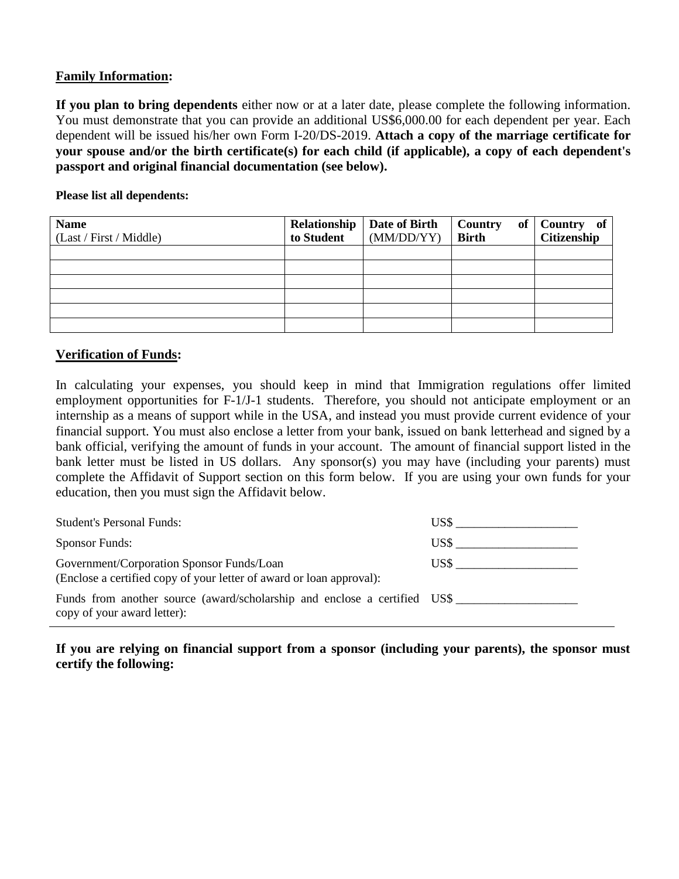### **Family Information:**

**If you plan to bring dependents** either now or at a later date, please complete the following information. You must demonstrate that you can provide an additional US\$6,000.00 for each dependent per year. Each dependent will be issued his/her own Form I-20/DS-2019. **Attach a copy of the marriage certificate for your spouse and/or the birth certificate(s) for each child (if applicable), a copy of each dependent's passport and original financial documentation (see below).**

**Please list all dependents:**

| <b>Name</b><br>(Last / First / Middle) | Relationship<br>to Student | Date of Birth<br>(MM/DD/YY) | of<br>Country<br><b>Birth</b> | Country of<br>Citizenship |
|----------------------------------------|----------------------------|-----------------------------|-------------------------------|---------------------------|
|                                        |                            |                             |                               |                           |
|                                        |                            |                             |                               |                           |
|                                        |                            |                             |                               |                           |
|                                        |                            |                             |                               |                           |
|                                        |                            |                             |                               |                           |
|                                        |                            |                             |                               |                           |

# **Verification of Funds:**

In calculating your expenses, you should keep in mind that Immigration regulations offer limited employment opportunities for F-1/J-1 students. Therefore, you should not anticipate employment or an internship as a means of support while in the USA, and instead you must provide current evidence of your financial support. You must also enclose a letter from your bank, issued on bank letterhead and signed by a bank official, verifying the amount of funds in your account. The amount of financial support listed in the bank letter must be listed in US dollars. Any sponsor(s) you may have (including your parents) must complete the Affidavit of Support section on this form below. If you are using your own funds for your education, then you must sign the Affidavit below.

| <b>Student's Personal Funds:</b>                                                                                  | US\$  |
|-------------------------------------------------------------------------------------------------------------------|-------|
| <b>Sponsor Funds:</b>                                                                                             | US\$- |
| Government/Corporation Sponsor Funds/Loan<br>(Enclose a certified copy of your letter of award or loan approval): | US\$  |
| Funds from another source (award/scholarship and enclose a certified US\$<br>copy of your award letter):          |       |

**If you are relying on financial support from a sponsor (including your parents), the sponsor must certify the following:**